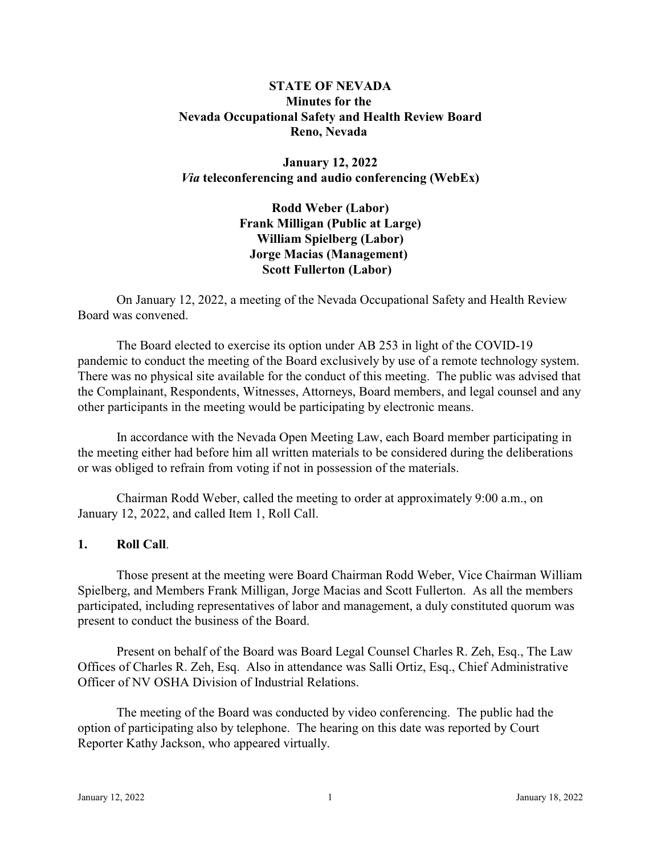# **STATE OF NEVADA Minutes for the Nevada Occupational Safety and Health Review Board Reno, Nevada**

**January 12, 2022**  *Via* **teleconferencing and audio conferencing (WebEx)** 

> **Rodd Weber (Labor) Frank Milligan (Public at Large) William Spielberg (Labor) Jorge Macias (Management) Scott Fullerton (Labor)**

On January 12, 2022, a meeting of the Nevada Occupational Safety and Health Review Board was convened.

The Board elected to exercise its option under AB 253 in light of the COVID-19 pandemic to conduct the meeting of the Board exclusively by use of a remote technology system. There was no physical site available for the conduct of this meeting. The public was advised that the Complainant, Respondents, Witnesses, Attorneys, Board members, and legal counsel and any other participants in the meeting would be participating by electronic means.

In accordance with the Nevada Open Meeting Law, each Board member participating in the meeting either had before him all written materials to be considered during the deliberations or was obliged to refrain from voting if not in possession of the materials.

Chairman Rodd Weber, called the meeting to order at approximately 9:00 a.m., on January 12, 2022, and called Item 1, Roll Call.

### **1. Roll Call**.

Those present at the meeting were Board Chairman Rodd Weber, Vice Chairman William Spielberg, and Members Frank Milligan, Jorge Macias and Scott Fullerton. As all the members participated, including representatives of labor and management, a duly constituted quorum was present to conduct the business of the Board.

Present on behalf of the Board was Board Legal Counsel Charles R. Zeh, Esq., The Law Offices of Charles R. Zeh, Esq. Also in attendance was Salli Ortiz, Esq., Chief Administrative Officer of NV OSHA Division of Industrial Relations.

The meeting of the Board was conducted by video conferencing. The public had the option of participating also by telephone. The hearing on this date was reported by Court Reporter Kathy Jackson, who appeared virtually.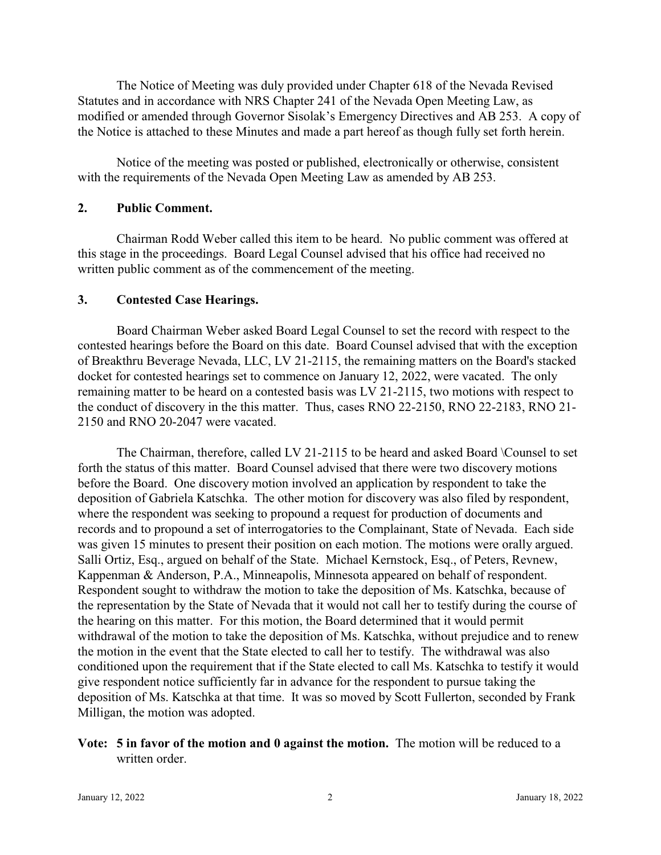The Notice of Meeting was duly provided under Chapter 618 of the Nevada Revised Statutes and in accordance with NRS Chapter 241 of the Nevada Open Meeting Law, as modified or amended through Governor Sisolak's Emergency Directives and AB 253. A copy of the Notice is attached to these Minutes and made a part hereof as though fully set forth herein.

Notice of the meeting was posted or published, electronically or otherwise, consistent with the requirements of the Nevada Open Meeting Law as amended by AB 253.

### **2. Public Comment.**

Chairman Rodd Weber called this item to be heard. No public comment was offered at this stage in the proceedings. Board Legal Counsel advised that his office had received no written public comment as of the commencement of the meeting.

#### **3. Contested Case Hearings.**

Board Chairman Weber asked Board Legal Counsel to set the record with respect to the contested hearings before the Board on this date. Board Counsel advised that with the exception of Breakthru Beverage Nevada, LLC, LV 21-2115, the remaining matters on the Board's stacked docket for contested hearings set to commence on January 12, 2022, were vacated. The only remaining matter to be heard on a contested basis was LV 21-2115, two motions with respect to the conduct of discovery in the this matter. Thus, cases RNO 22-2150, RNO 22-2183, RNO 21- 2150 and RNO 20-2047 were vacated.

The Chairman, therefore, called LV 21-2115 to be heard and asked Board \Counsel to set forth the status of this matter. Board Counsel advised that there were two discovery motions before the Board. One discovery motion involved an application by respondent to take the deposition of Gabriela Katschka. The other motion for discovery was also filed by respondent, where the respondent was seeking to propound a request for production of documents and records and to propound a set of interrogatories to the Complainant, State of Nevada. Each side was given 15 minutes to present their position on each motion. The motions were orally argued. Salli Ortiz, Esq., argued on behalf of the State. Michael Kernstock, Esq., of Peters, Revnew, Kappenman & Anderson, P.A., Minneapolis, Minnesota appeared on behalf of respondent. Respondent sought to withdraw the motion to take the deposition of Ms. Katschka, because of the representation by the State of Nevada that it would not call her to testify during the course of the hearing on this matter. For this motion, the Board determined that it would permit withdrawal of the motion to take the deposition of Ms. Katschka, without prejudice and to renew the motion in the event that the State elected to call her to testify. The withdrawal was also conditioned upon the requirement that if the State elected to call Ms. Katschka to testify it would give respondent notice sufficiently far in advance for the respondent to pursue taking the deposition of Ms. Katschka at that time. It was so moved by Scott Fullerton, seconded by Frank Milligan, the motion was adopted.

# **Vote: 5 in favor of the motion and 0 against the motion.** The motion will be reduced to a written order.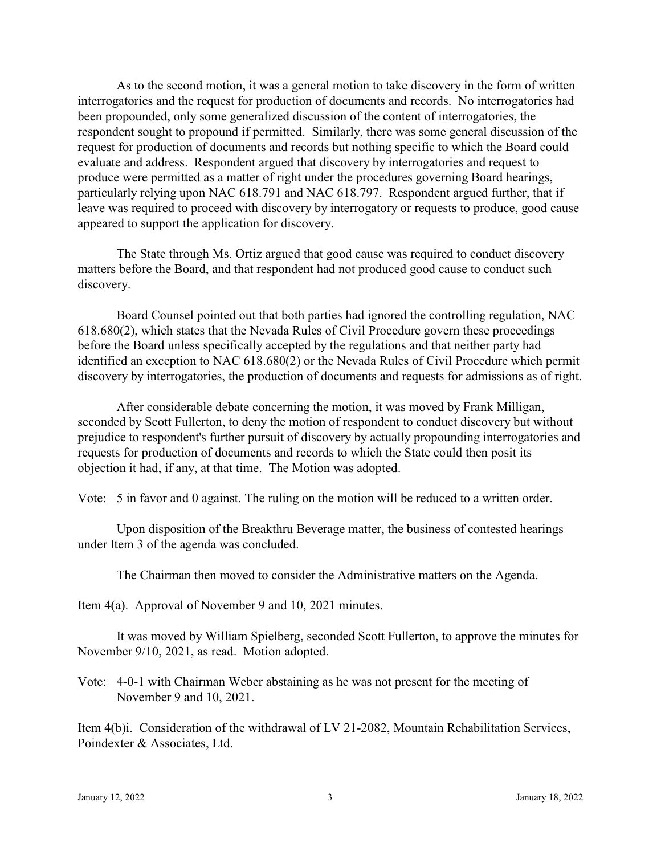As to the second motion, it was a general motion to take discovery in the form of written interrogatories and the request for production of documents and records. No interrogatories had been propounded, only some generalized discussion of the content of interrogatories, the respondent sought to propound if permitted. Similarly, there was some general discussion of the request for production of documents and records but nothing specific to which the Board could evaluate and address. Respondent argued that discovery by interrogatories and request to produce were permitted as a matter of right under the procedures governing Board hearings, particularly relying upon NAC 618.791 and NAC 618.797. Respondent argued further, that if leave was required to proceed with discovery by interrogatory or requests to produce, good cause appeared to support the application for discovery.

The State through Ms. Ortiz argued that good cause was required to conduct discovery matters before the Board, and that respondent had not produced good cause to conduct such discovery.

Board Counsel pointed out that both parties had ignored the controlling regulation, NAC 618.680(2), which states that the Nevada Rules of Civil Procedure govern these proceedings before the Board unless specifically accepted by the regulations and that neither party had identified an exception to NAC 618.680(2) or the Nevada Rules of Civil Procedure which permit discovery by interrogatories, the production of documents and requests for admissions as of right.

After considerable debate concerning the motion, it was moved by Frank Milligan, seconded by Scott Fullerton, to deny the motion of respondent to conduct discovery but without prejudice to respondent's further pursuit of discovery by actually propounding interrogatories and requests for production of documents and records to which the State could then posit its objection it had, if any, at that time. The Motion was adopted.

Vote: 5 in favor and 0 against. The ruling on the motion will be reduced to a written order.

Upon disposition of the Breakthru Beverage matter, the business of contested hearings under Item 3 of the agenda was concluded.

The Chairman then moved to consider the Administrative matters on the Agenda.

Item 4(a). Approval of November 9 and 10, 2021 minutes.

It was moved by William Spielberg, seconded Scott Fullerton, to approve the minutes for November 9/10, 2021, as read. Motion adopted.

Vote: 4-0-1 with Chairman Weber abstaining as he was not present for the meeting of November 9 and 10, 2021.

Item 4(b)i. Consideration of the withdrawal of LV 21-2082, Mountain Rehabilitation Services, Poindexter & Associates, Ltd.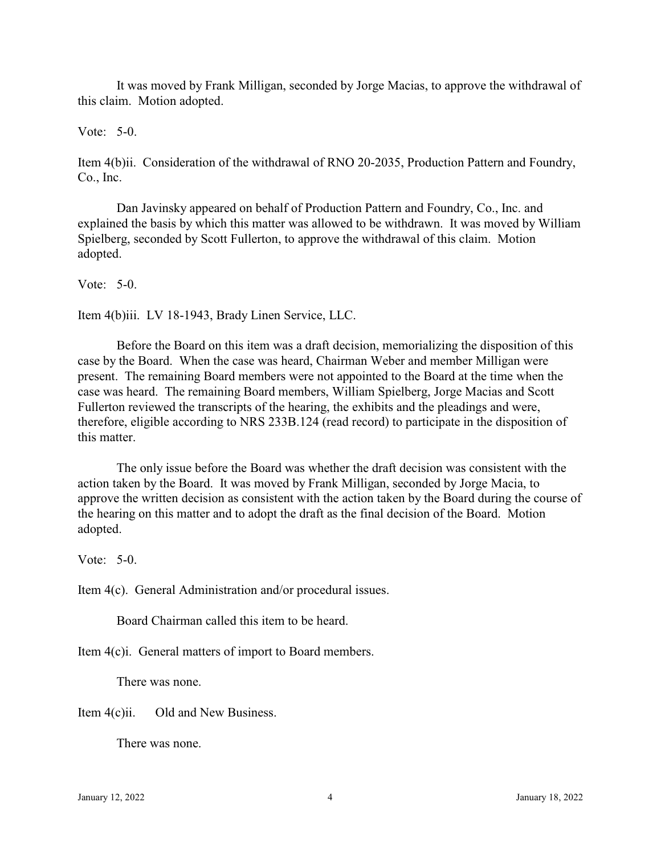It was moved by Frank Milligan, seconded by Jorge Macias, to approve the withdrawal of this claim. Motion adopted.

### Vote: 5-0.

Item 4(b)ii. Consideration of the withdrawal of RNO 20-2035, Production Pattern and Foundry, Co., Inc.

Dan Javinsky appeared on behalf of Production Pattern and Foundry, Co., Inc. and explained the basis by which this matter was allowed to be withdrawn. It was moved by William Spielberg, seconded by Scott Fullerton, to approve the withdrawal of this claim. Motion adopted.

Vote: 5-0.

Item 4(b)iii. LV 18-1943, Brady Linen Service, LLC.

Before the Board on this item was a draft decision, memorializing the disposition of this case by the Board. When the case was heard, Chairman Weber and member Milligan were present. The remaining Board members were not appointed to the Board at the time when the case was heard. The remaining Board members, William Spielberg, Jorge Macias and Scott Fullerton reviewed the transcripts of the hearing, the exhibits and the pleadings and were, therefore, eligible according to NRS 233B.124 (read record) to participate in the disposition of this matter.

The only issue before the Board was whether the draft decision was consistent with the action taken by the Board. It was moved by Frank Milligan, seconded by Jorge Macia, to approve the written decision as consistent with the action taken by the Board during the course of the hearing on this matter and to adopt the draft as the final decision of the Board. Motion adopted.

Vote:  $5-0$ .

Item 4(c). General Administration and/or procedural issues.

Board Chairman called this item to be heard.

Item 4(c)i. General matters of import to Board members.

There was none.

Item 4(c)ii. Old and New Business.

There was none.